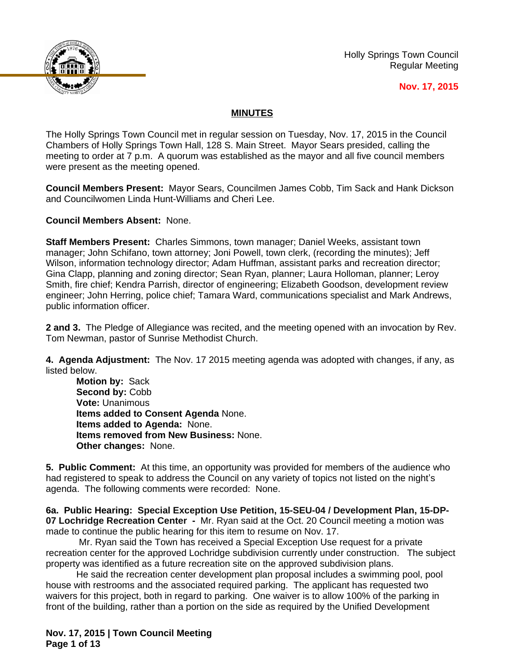

Holly Springs Town Council Regular Meeting

#### **Nov. 17, 2015**

### **MINUTES**

The Holly Springs Town Council met in regular session on Tuesday, Nov. 17, 2015 in the Council Chambers of Holly Springs Town Hall, 128 S. Main Street. Mayor Sears presided, calling the meeting to order at 7 p.m. A quorum was established as the mayor and all five council members were present as the meeting opened.

**Council Members Present:** Mayor Sears, Councilmen James Cobb, Tim Sack and Hank Dickson and Councilwomen Linda Hunt-Williams and Cheri Lee.

**Council Members Absent:** None.

**Staff Members Present:** Charles Simmons, town manager; Daniel Weeks, assistant town manager; John Schifano, town attorney; Joni Powell, town clerk, (recording the minutes); Jeff Wilson, information technology director; Adam Huffman, assistant parks and recreation director; Gina Clapp, planning and zoning director; Sean Ryan, planner; Laura Holloman, planner; Leroy Smith, fire chief; Kendra Parrish, director of engineering; Elizabeth Goodson, development review engineer; John Herring, police chief; Tamara Ward, communications specialist and Mark Andrews, public information officer.

**2 and 3.** The Pledge of Allegiance was recited, and the meeting opened with an invocation by Rev. Tom Newman, pastor of Sunrise Methodist Church.

**4. Agenda Adjustment:** The Nov. 17 2015 meeting agenda was adopted with changes, if any, as listed below.

**Motion by:** Sack Second by: Cobb **Vote:** Unanimous **Items added to Consent Agenda** None. **Items added to Agenda:** None. **Items removed from New Business:** None. **Other changes:** None.

**5. Public Comment:** At this time, an opportunity was provided for members of the audience who had registered to speak to address the Council on any variety of topics not listed on the night's agenda. The following comments were recorded: None.

**6a. Public Hearing: Special Exception Use Petition, 15-SEU-04 / Development Plan, 15-DP-07 Lochridge Recreation Center -** Mr. Ryan said at the Oct. 20 Council meeting a motion was made to continue the public hearing for this item to resume on Nov. 17.

 Mr. Ryan said the Town has received a Special Exception Use request for a private recreation center for the approved Lochridge subdivision currently under construction. The subject property was identified as a future recreation site on the approved subdivision plans.

He said the recreation center development plan proposal includes a swimming pool, pool house with restrooms and the associated required parking. The applicant has requested two waivers for this project, both in regard to parking. One waiver is to allow 100% of the parking in front of the building, rather than a portion on the side as required by the Unified Development

**Nov. 17, 2015 | Town Council Meeting Page 1 of 13**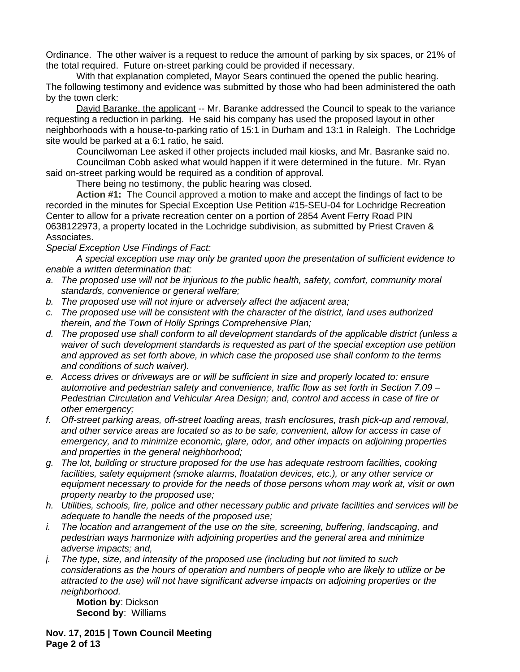Ordinance. The other waiver is a request to reduce the amount of parking by six spaces, or 21% of the total required. Future on-street parking could be provided if necessary.

With that explanation completed, Mayor Sears continued the opened the public hearing. The following testimony and evidence was submitted by those who had been administered the oath by the town clerk:

David Baranke, the applicant -- Mr. Baranke addressed the Council to speak to the variance requesting a reduction in parking. He said his company has used the proposed layout in other neighborhoods with a house-to-parking ratio of 15:1 in Durham and 13:1 in Raleigh. The Lochridge site would be parked at a 6:1 ratio, he said.

Councilwoman Lee asked if other projects included mail kiosks, and Mr. Basranke said no.

Councilman Cobb asked what would happen if it were determined in the future. Mr. Ryan said on-street parking would be required as a condition of approval.

There being no testimony, the public hearing was closed.

**Action #1:** The Council approved a motion to make and accept the findings of fact to be recorded in the minutes for Special Exception Use Petition #15-SEU-04 for Lochridge Recreation Center to allow for a private recreation center on a portion of 2854 Avent Ferry Road PIN 0638122973, a property located in the Lochridge subdivision, as submitted by Priest Craven & Associates.

#### *Special Exception Use Findings of Fact:*

*A special exception use may only be granted upon the presentation of sufficient evidence to enable a written determination that:*

- *a. The proposed use will not be injurious to the public health, safety, comfort, community moral standards, convenience or general welfare;*
- *b. The proposed use will not injure or adversely affect the adjacent area;*
- *c. The proposed use will be consistent with the character of the district, land uses authorized therein, and the Town of Holly Springs Comprehensive Plan;*
- *d. The proposed use shall conform to all development standards of the applicable district (unless a waiver of such development standards is requested as part of the special exception use petition and approved as set forth above, in which case the proposed use shall conform to the terms and conditions of such waiver).*
- *e. Access drives or driveways are or will be sufficient in size and properly located to: ensure automotive and pedestrian safety and convenience, traffic flow as set forth in Section 7.09 – Pedestrian Circulation and Vehicular Area Design; and, control and access in case of fire or other emergency;*
- *f. Off-street parking areas, off-street loading areas, trash enclosures, trash pick-up and removal, and other service areas are located so as to be safe, convenient, allow for access in case of emergency, and to minimize economic, glare, odor, and other impacts on adjoining properties and properties in the general neighborhood;*
- *g. The lot, building or structure proposed for the use has adequate restroom facilities, cooking facilities, safety equipment (smoke alarms, floatation devices, etc.), or any other service or equipment necessary to provide for the needs of those persons whom may work at, visit or own property nearby to the proposed use;*
- *h. Utilities, schools, fire, police and other necessary public and private facilities and services will be adequate to handle the needs of the proposed use;*
- *i. The location and arrangement of the use on the site, screening, buffering, landscaping, and pedestrian ways harmonize with adjoining properties and the general area and minimize adverse impacts; and,*
- *j. The type, size, and intensity of the proposed use (including but not limited to such considerations as the hours of operation and numbers of people who are likely to utilize or be attracted to the use) will not have significant adverse impacts on adjoining properties or the neighborhood.*

**Motion by**: Dickson **Second by**: Williams

**Nov. 17, 2015 | Town Council Meeting Page 2 of 13**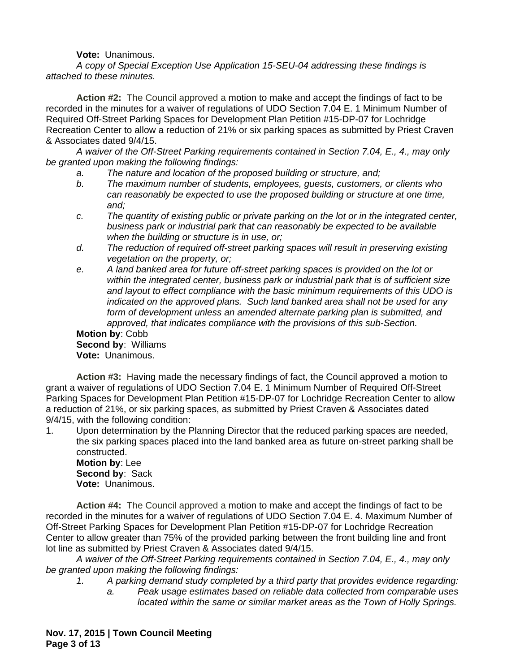### **Vote:** Unanimous.

*A copy of Special Exception Use Application 15-SEU-04 addressing these findings is attached to these minutes.*

**Action #2:** The Council approved a motion to make and accept the findings of fact to be recorded in the minutes for a waiver of regulations of UDO Section 7.04 E. 1 Minimum Number of Required Off-Street Parking Spaces for Development Plan Petition #15-DP-07 for Lochridge Recreation Center to allow a reduction of 21% or six parking spaces as submitted by Priest Craven & Associates dated 9/4/15.

*A waiver of the Off-Street Parking requirements contained in Section 7.04, E., 4., may only be granted upon making the following findings:*

- *a. The nature and location of the proposed building or structure, and;*
- *b. The maximum number of students, employees, guests, customers, or clients who can reasonably be expected to use the proposed building or structure at one time, and;*
- *c. The quantity of existing public or private parking on the lot or in the integrated center, business park or industrial park that can reasonably be expected to be available when the building or structure is in use, or;*
- *d. The reduction of required off-street parking spaces will result in preserving existing vegetation on the property, or;*
- *e. A land banked area for future off-street parking spaces is provided on the lot or within the integrated center, business park or industrial park that is of sufficient size and layout to effect compliance with the basic minimum requirements of this UDO is indicated on the approved plans. Such land banked area shall not be used for any form of development unless an amended alternate parking plan is submitted, and approved, that indicates compliance with the provisions of this sub-Section.*

**Motion by**: Cobb **Second by**: Williams **Vote:** Unanimous.

**Action #3:** Having made the necessary findings of fact, the Council approved a motion to grant a waiver of regulations of UDO Section 7.04 E. 1 Minimum Number of Required Off-Street Parking Spaces for Development Plan Petition #15-DP-07 for Lochridge Recreation Center to allow a reduction of 21%, or six parking spaces, as submitted by Priest Craven & Associates dated 9/4/15, with the following condition:

1. Upon determination by the Planning Director that the reduced parking spaces are needed, the six parking spaces placed into the land banked area as future on-street parking shall be constructed.

**Motion by**: Lee **Second by**: Sack **Vote:** Unanimous.

**Action #4:** The Council approved a motion to make and accept the findings of fact to be recorded in the minutes for a waiver of regulations of UDO Section 7.04 E. 4. Maximum Number of Off-Street Parking Spaces for Development Plan Petition #15-DP-07 for Lochridge Recreation Center to allow greater than 75% of the provided parking between the front building line and front lot line as submitted by Priest Craven & Associates dated 9/4/15.

*A waiver of the Off-Street Parking requirements contained in Section 7.04, E., 4., may only be granted upon making the following findings:*

*1. A parking demand study completed by a third party that provides evidence regarding:*

*a. Peak usage estimates based on reliable data collected from comparable uses located within the same or similar market areas as the Town of Holly Springs.*

**Nov. 17, 2015 | Town Council Meeting Page 3 of 13**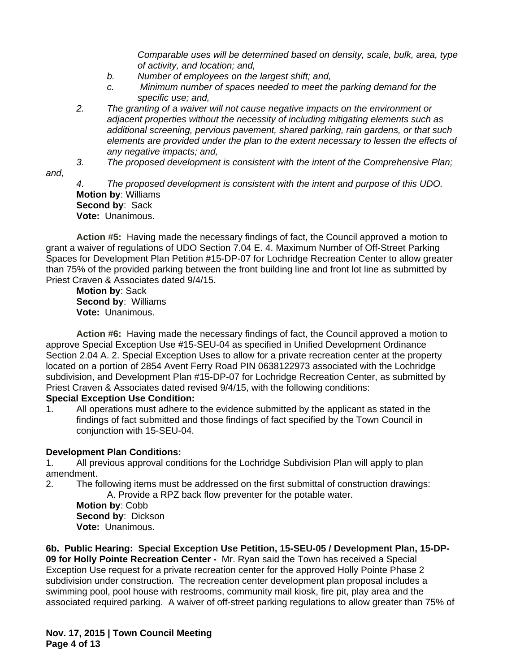*Comparable uses will be determined based on density, scale, bulk, area, type of activity, and location; and,* 

- *b. Number of employees on the largest shift; and,*
- *c. Minimum number of spaces needed to meet the parking demand for the specific use; and,*
- *2. The granting of a waiver will not cause negative impacts on the environment or adjacent properties without the necessity of including mitigating elements such as additional screening, pervious pavement, shared parking, rain gardens, or that such elements are provided under the plan to the extent necessary to lessen the effects of any negative impacts; and,*
- *3. The proposed development is consistent with the intent of the Comprehensive Plan;*
- *and,*

*4. The proposed development is consistent with the intent and purpose of this UDO.* **Motion by**: Williams **Second by**: Sack **Vote:** Unanimous.

**Action #5:** Having made the necessary findings of fact, the Council approved a motion to grant a waiver of regulations of UDO Section 7.04 E. 4. Maximum Number of Off-Street Parking Spaces for Development Plan Petition #15-DP-07 for Lochridge Recreation Center to allow greater than 75% of the provided parking between the front building line and front lot line as submitted by Priest Craven & Associates dated 9/4/15.

**Motion by**: Sack **Second by**: Williams **Vote:** Unanimous.

**Action #6:** Having made the necessary findings of fact, the Council approved a motion to approve Special Exception Use #15-SEU-04 as specified in Unified Development Ordinance Section 2.04 A. 2. Special Exception Uses to allow for a private recreation center at the property located on a portion of 2854 Avent Ferry Road PIN 0638122973 associated with the Lochridge subdivision, and Development Plan #15-DP-07 for Lochridge Recreation Center, as submitted by Priest Craven & Associates dated revised 9/4/15, with the following conditions:

### **Special Exception Use Condition:**

1. All operations must adhere to the evidence submitted by the applicant as stated in the findings of fact submitted and those findings of fact specified by the Town Council in conjunction with 15-SEU-04.

# **Development Plan Conditions:**

1. All previous approval conditions for the Lochridge Subdivision Plan will apply to plan amendment.

2. The following items must be addressed on the first submittal of construction drawings: A. Provide a RPZ back flow preventer for the potable water.

**Motion by**: Cobb **Second by**: Dickson **Vote:** Unanimous.

**6b. Public Hearing: Special Exception Use Petition, 15-SEU-05 / Development Plan, 15-DP-09 for Holly Pointe Recreation Center -** Mr. Ryan said the Town has received a Special Exception Use request for a private recreation center for the approved Holly Pointe Phase 2 subdivision under construction. The recreation center development plan proposal includes a swimming pool, pool house with restrooms, community mail kiosk, fire pit, play area and the associated required parking. A waiver of off-street parking regulations to allow greater than 75% of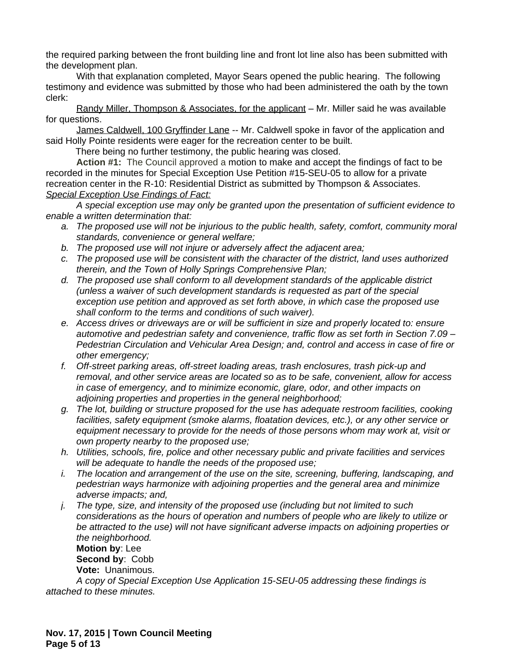the required parking between the front building line and front lot line also has been submitted with the development plan.

With that explanation completed, Mayor Sears opened the public hearing. The following testimony and evidence was submitted by those who had been administered the oath by the town clerk:

Randy Miller, Thompson & Associates, for the applicant – Mr. Miller said he was available for questions.

James Caldwell, 100 Gryffinder Lane -- Mr. Caldwell spoke in favor of the application and said Holly Pointe residents were eager for the recreation center to be built.

There being no further testimony, the public hearing was closed.

**Action #1:** The Council approved a motion to make and accept the findings of fact to be recorded in the minutes for Special Exception Use Petition #15-SEU-05 to allow for a private recreation center in the R-10: Residential District as submitted by Thompson & Associates. *Special Exception Use Findings of Fact:*

*A special exception use may only be granted upon the presentation of sufficient evidence to enable a written determination that:*

- *a. The proposed use will not be injurious to the public health, safety, comfort, community moral standards, convenience or general welfare;*
- *b. The proposed use will not injure or adversely affect the adjacent area;*
- *c. The proposed use will be consistent with the character of the district, land uses authorized therein, and the Town of Holly Springs Comprehensive Plan;*
- *d. The proposed use shall conform to all development standards of the applicable district (unless a waiver of such development standards is requested as part of the special exception use petition and approved as set forth above, in which case the proposed use shall conform to the terms and conditions of such waiver).*
- *e. Access drives or driveways are or will be sufficient in size and properly located to: ensure automotive and pedestrian safety and convenience, traffic flow as set forth in Section 7.09 – Pedestrian Circulation and Vehicular Area Design; and, control and access in case of fire or other emergency;*
- *f. Off-street parking areas, off-street loading areas, trash enclosures, trash pick-up and removal, and other service areas are located so as to be safe, convenient, allow for access in case of emergency, and to minimize economic, glare, odor, and other impacts on adjoining properties and properties in the general neighborhood;*
- *g. The lot, building or structure proposed for the use has adequate restroom facilities, cooking facilities, safety equipment (smoke alarms, floatation devices, etc.), or any other service or equipment necessary to provide for the needs of those persons whom may work at, visit or own property nearby to the proposed use;*
- *h. Utilities, schools, fire, police and other necessary public and private facilities and services will be adequate to handle the needs of the proposed use;*
- *i. The location and arrangement of the use on the site, screening, buffering, landscaping, and pedestrian ways harmonize with adjoining properties and the general area and minimize adverse impacts; and,*
- *j. The type, size, and intensity of the proposed use (including but not limited to such considerations as the hours of operation and numbers of people who are likely to utilize or be attracted to the use) will not have significant adverse impacts on adjoining properties or the neighborhood.*

**Motion by**: Lee **Second by**: Cobb **Vote:** Unanimous.

*A copy of Special Exception Use Application 15-SEU-05 addressing these findings is attached to these minutes.*

**Nov. 17, 2015 | Town Council Meeting Page 5 of 13**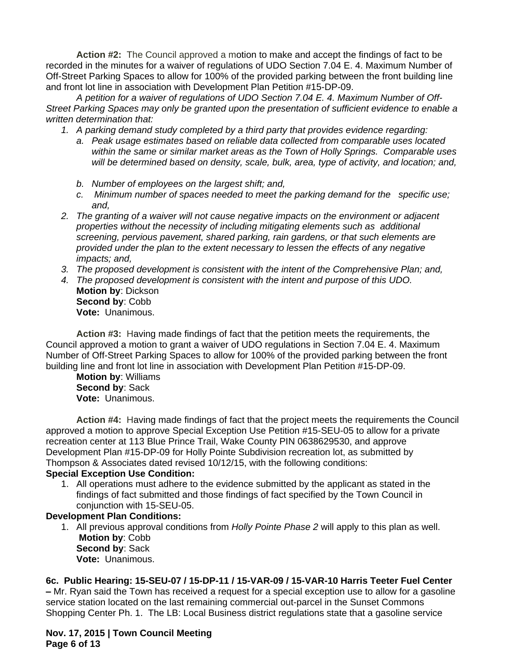**Action #2:** The Council approved a motion to make and accept the findings of fact to be recorded in the minutes for a waiver of regulations of UDO Section 7.04 E. 4. Maximum Number of Off-Street Parking Spaces to allow for 100% of the provided parking between the front building line and front lot line in association with Development Plan Petition #15-DP-09.

*A petition for a waiver of regulations of UDO Section 7.04 E. 4. Maximum Number of Off-Street Parking Spaces may only be granted upon the presentation of sufficient evidence to enable a written determination that:*

- *1. A parking demand study completed by a third party that provides evidence regarding:*
	- *a. Peak usage estimates based on reliable data collected from comparable uses located within the same or similar market areas as the Town of Holly Springs. Comparable uses will be determined based on density, scale, bulk, area, type of activity, and location; and,*
	- *b. Number of employees on the largest shift; and,*
	- *c. Minimum number of spaces needed to meet the parking demand for the specific use; and,*
- *2. The granting of a waiver will not cause negative impacts on the environment or adjacent properties without the necessity of including mitigating elements such as additional screening, pervious pavement, shared parking, rain gardens, or that such elements are provided under the plan to the extent necessary to lessen the effects of any negative impacts; and,*
- *3. The proposed development is consistent with the intent of the Comprehensive Plan; and,*
- *4. The proposed development is consistent with the intent and purpose of this UDO.* **Motion by**: Dickson **Second by**: Cobb **Vote:** Unanimous.

**Action #3:** Having made findings of fact that the petition meets the requirements, the Council approved a motion to grant a waiver of UDO regulations in Section 7.04 E. 4. Maximum Number of Off-Street Parking Spaces to allow for 100% of the provided parking between the front building line and front lot line in association with Development Plan Petition #15-DP-09.

**Motion by**: Williams **Second by**: Sack **Vote:** Unanimous.

**Action #4:** Having made findings of fact that the project meets the requirements the Council approved a motion to approve Special Exception Use Petition #15-SEU-05 to allow for a private recreation center at 113 Blue Prince Trail, Wake County PIN 0638629530, and approve Development Plan #15-DP-09 for Holly Pointe Subdivision recreation lot, as submitted by Thompson & Associates dated revised 10/12/15, with the following conditions:

### **Special Exception Use Condition:**

1. All operations must adhere to the evidence submitted by the applicant as stated in the findings of fact submitted and those findings of fact specified by the Town Council in conjunction with 15-SEU-05.

#### **Development Plan Conditions:**

1. All previous approval conditions from *Holly Pointe Phase 2* will apply to this plan as well. **Motion by**: Cobb **Second by**: Sack **Vote:** Unanimous.

### **6c. Public Hearing: 15-SEU-07 / 15-DP-11 / 15-VAR-09 / 15-VAR-10 Harris Teeter Fuel Center**

**–** Mr. Ryan said the Town has received a request for a special exception use to allow for a gasoline service station located on the last remaining commercial out-parcel in the Sunset Commons Shopping Center Ph. 1. The LB: Local Business district regulations state that a gasoline service

**Nov. 17, 2015 | Town Council Meeting Page 6 of 13**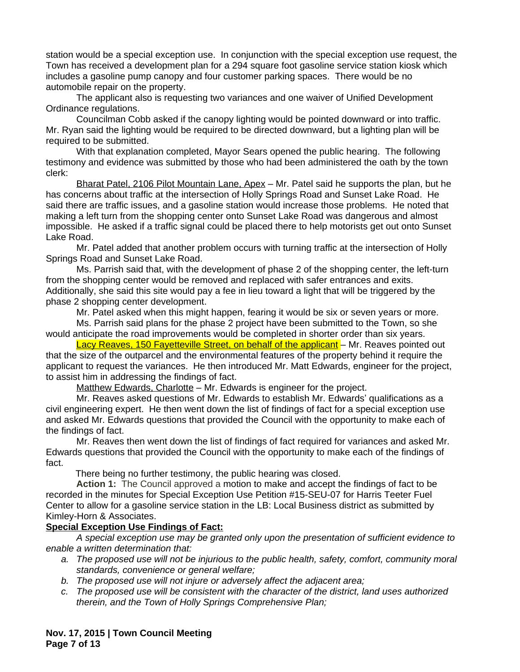station would be a special exception use. In conjunction with the special exception use request, the Town has received a development plan for a 294 square foot gasoline service station kiosk which includes a gasoline pump canopy and four customer parking spaces. There would be no automobile repair on the property.

The applicant also is requesting two variances and one waiver of Unified Development Ordinance regulations.

Councilman Cobb asked if the canopy lighting would be pointed downward or into traffic. Mr. Ryan said the lighting would be required to be directed downward, but a lighting plan will be required to be submitted.

With that explanation completed, Mayor Sears opened the public hearing. The following testimony and evidence was submitted by those who had been administered the oath by the town clerk:

Bharat Patel, 2106 Pilot Mountain Lane, Apex – Mr. Patel said he supports the plan, but he has concerns about traffic at the intersection of Holly Springs Road and Sunset Lake Road. He said there are traffic issues, and a gasoline station would increase those problems. He noted that making a left turn from the shopping center onto Sunset Lake Road was dangerous and almost impossible. He asked if a traffic signal could be placed there to help motorists get out onto Sunset Lake Road.

Mr. Patel added that another problem occurs with turning traffic at the intersection of Holly Springs Road and Sunset Lake Road.

Ms. Parrish said that, with the development of phase 2 of the shopping center, the left-turn from the shopping center would be removed and replaced with safer entrances and exits. Additionally, she said this site would pay a fee in lieu toward a light that will be triggered by the phase 2 shopping center development.

Mr. Patel asked when this might happen, fearing it would be six or seven years or more.

Ms. Parrish said plans for the phase 2 project have been submitted to the Town, so she would anticipate the road improvements would be completed in shorter order than six years.

Lacy Reaves, 150 Fayetteville Street, on behalf of the applicant - Mr. Reaves pointed out that the size of the outparcel and the environmental features of the property behind it require the applicant to request the variances. He then introduced Mr. Matt Edwards, engineer for the project, to assist him in addressing the findings of fact.

Matthew Edwards, Charlotte – Mr. Edwards is engineer for the project.

Mr. Reaves asked questions of Mr. Edwards to establish Mr. Edwards' qualifications as a civil engineering expert. He then went down the list of findings of fact for a special exception use and asked Mr. Edwards questions that provided the Council with the opportunity to make each of the findings of fact.

Mr. Reaves then went down the list of findings of fact required for variances and asked Mr. Edwards questions that provided the Council with the opportunity to make each of the findings of fact.

There being no further testimony, the public hearing was closed.

**Action 1:** The Council approved a motion to make and accept the findings of fact to be recorded in the minutes for Special Exception Use Petition #15-SEU-07 for Harris Teeter Fuel Center to allow for a gasoline service station in the LB: Local Business district as submitted by Kimley-Horn & Associates.

### **Special Exception Use Findings of Fact:**

*A special exception use may be granted only upon the presentation of sufficient evidence to enable a written determination that:*

- *a. The proposed use will not be injurious to the public health, safety, comfort, community moral standards, convenience or general welfare;*
- *b. The proposed use will not injure or adversely affect the adjacent area;*
- *c. The proposed use will be consistent with the character of the district, land uses authorized therein, and the Town of Holly Springs Comprehensive Plan;*

**Nov. 17, 2015 | Town Council Meeting Page 7 of 13**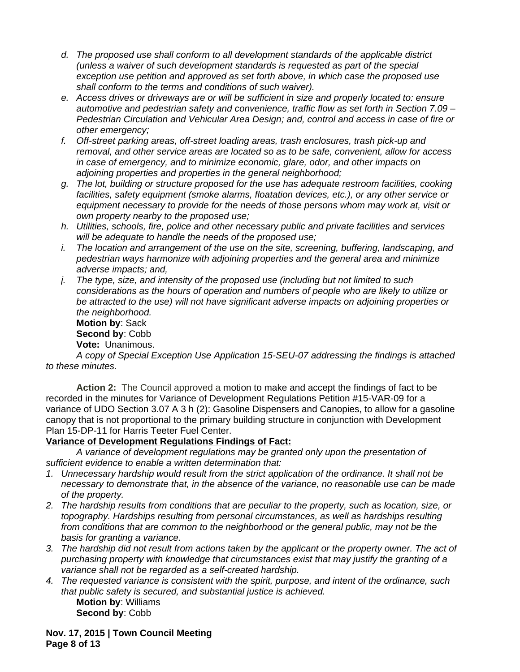- *d. The proposed use shall conform to all development standards of the applicable district (unless a waiver of such development standards is requested as part of the special exception use petition and approved as set forth above, in which case the proposed use shall conform to the terms and conditions of such waiver).*
- *e. Access drives or driveways are or will be sufficient in size and properly located to: ensure automotive and pedestrian safety and convenience, traffic flow as set forth in Section 7.09 – Pedestrian Circulation and Vehicular Area Design; and, control and access in case of fire or other emergency;*
- *f. Off-street parking areas, off-street loading areas, trash enclosures, trash pick-up and removal, and other service areas are located so as to be safe, convenient, allow for access in case of emergency, and to minimize economic, glare, odor, and other impacts on adjoining properties and properties in the general neighborhood;*
- *g. The lot, building or structure proposed for the use has adequate restroom facilities, cooking facilities, safety equipment (smoke alarms, floatation devices, etc.), or any other service or equipment necessary to provide for the needs of those persons whom may work at, visit or own property nearby to the proposed use;*
- *h. Utilities, schools, fire, police and other necessary public and private facilities and services will be adequate to handle the needs of the proposed use;*
- *i. The location and arrangement of the use on the site, screening, buffering, landscaping, and pedestrian ways harmonize with adjoining properties and the general area and minimize adverse impacts; and,*
- *j. The type, size, and intensity of the proposed use (including but not limited to such considerations as the hours of operation and numbers of people who are likely to utilize or be attracted to the use) will not have significant adverse impacts on adjoining properties or the neighborhood.*

**Motion by**: Sack **Second by**: Cobb

**Vote:** Unanimous.

*A copy of Special Exception Use Application 15-SEU-07 addressing the findings is attached to these minutes.*

**Action 2:** The Council approved a motion to make and accept the findings of fact to be recorded in the minutes for Variance of Development Regulations Petition #15-VAR-09 for a variance of UDO Section 3.07 A 3 h (2): Gasoline Dispensers and Canopies, to allow for a gasoline canopy that is not proportional to the primary building structure in conjunction with Development Plan 15-DP-11 for Harris Teeter Fuel Center.

# **Variance of Development Regulations Findings of Fact:**

*A variance of development regulations may be granted only upon the presentation of sufficient evidence to enable a written determination that:*

- *1. Unnecessary hardship would result from the strict application of the ordinance. It shall not be necessary to demonstrate that, in the absence of the variance, no reasonable use can be made of the property.*
- *2. The hardship results from conditions that are peculiar to the property, such as location, size, or topography. Hardships resulting from personal circumstances, as well as hardships resulting from conditions that are common to the neighborhood or the general public, may not be the basis for granting a variance.*
- *3. The hardship did not result from actions taken by the applicant or the property owner. The act of purchasing property with knowledge that circumstances exist that may justify the granting of a variance shall not be regarded as a self-created hardship.*
- *4. The requested variance is consistent with the spirit, purpose, and intent of the ordinance, such that public safety is secured, and substantial justice is achieved.* **Motion by**: Williams **Second by**: Cobb

**Nov. 17, 2015 | Town Council Meeting Page 8 of 13**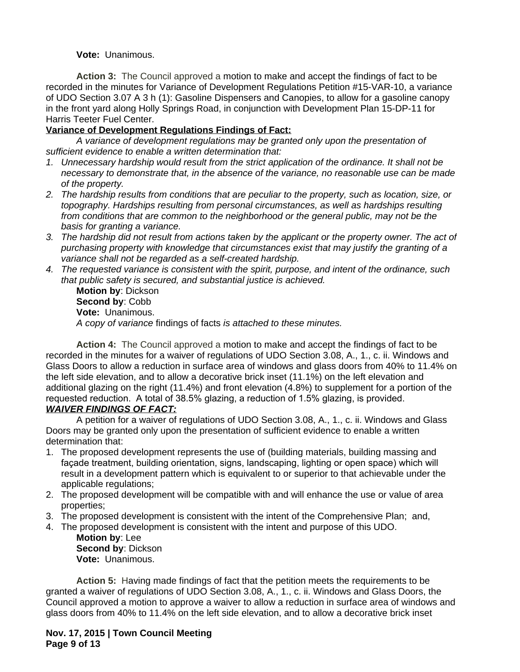**Vote:** Unanimous.

**Action 3:** The Council approved a motion to make and accept the findings of fact to be recorded in the minutes for Variance of Development Regulations Petition #15-VAR-10, a variance of UDO Section 3.07 A 3 h (1): Gasoline Dispensers and Canopies, to allow for a gasoline canopy in the front yard along Holly Springs Road, in conjunction with Development Plan 15-DP-11 for Harris Teeter Fuel Center.

# **Variance of Development Regulations Findings of Fact:**

*A variance of development regulations may be granted only upon the presentation of sufficient evidence to enable a written determination that:*

- *1. Unnecessary hardship would result from the strict application of the ordinance. It shall not be necessary to demonstrate that, in the absence of the variance, no reasonable use can be made of the property.*
- *2. The hardship results from conditions that are peculiar to the property, such as location, size, or topography. Hardships resulting from personal circumstances, as well as hardships resulting from conditions that are common to the neighborhood or the general public, may not be the basis for granting a variance.*
- *3. The hardship did not result from actions taken by the applicant or the property owner. The act of purchasing property with knowledge that circumstances exist that may justify the granting of a variance shall not be regarded as a self-created hardship.*
- *4. The requested variance is consistent with the spirit, purpose, and intent of the ordinance, such that public safety is secured, and substantial justice is achieved.*

**Motion by**: Dickson **Second by**: Cobb **Vote:** Unanimous. *A copy of variance* findings of facts *is attached to these minutes.*

**Action 4:** The Council approved a motion to make and accept the findings of fact to be recorded in the minutes for a waiver of regulations of UDO Section 3.08, A., 1., c. ii. Windows and Glass Doors to allow a reduction in surface area of windows and glass doors from 40% to 11.4% on the left side elevation, and to allow a decorative brick inset (11.1%) on the left elevation and additional glazing on the right (11.4%) and front elevation (4.8%) to supplement for a portion of the requested reduction. A total of 38.5% glazing, a reduction of 1.5% glazing, is provided.

# *WAIVER FINDINGS OF FACT:*

A petition for a waiver of regulations of UDO Section 3.08, A., 1., c. ii. Windows and Glass Doors may be granted only upon the presentation of sufficient evidence to enable a written determination that:

- 1. The proposed development represents the use of (building materials, building massing and façade treatment, building orientation, signs, landscaping, lighting or open space) which will result in a development pattern which is equivalent to or superior to that achievable under the applicable regulations;
- 2. The proposed development will be compatible with and will enhance the use or value of area properties;
- 3. The proposed development is consistent with the intent of the Comprehensive Plan; and,
- 4. The proposed development is consistent with the intent and purpose of this UDO.

**Motion by**: Lee **Second by**: Dickson **Vote:** Unanimous.

**Action 5:** Having made findings of fact that the petition meets the requirements to be granted a waiver of regulations of UDO Section 3.08, A., 1., c. ii. Windows and Glass Doors, the Council approved a motion to approve a waiver to allow a reduction in surface area of windows and glass doors from 40% to 11.4% on the left side elevation, and to allow a decorative brick inset

**Nov. 17, 2015 | Town Council Meeting Page 9 of 13**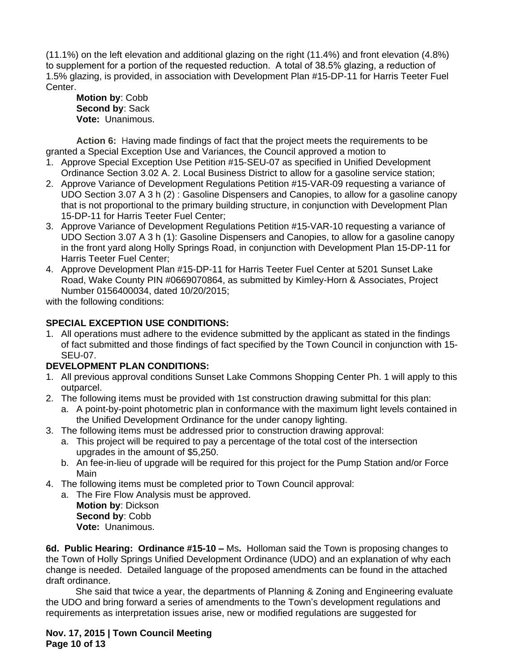(11.1%) on the left elevation and additional glazing on the right (11.4%) and front elevation (4.8%) to supplement for a portion of the requested reduction. A total of 38.5% glazing, a reduction of 1.5% glazing, is provided, in association with Development Plan #15-DP-11 for Harris Teeter Fuel Center.

**Motion by**: Cobb **Second by**: Sack **Vote:** Unanimous.

**Action 6:** Having made findings of fact that the project meets the requirements to be granted a Special Exception Use and Variances, the Council approved a motion to

- 1. Approve Special Exception Use Petition #15-SEU-07 as specified in Unified Development Ordinance Section 3.02 A. 2. Local Business District to allow for a gasoline service station;
- 2. Approve Variance of Development Regulations Petition #15-VAR-09 requesting a variance of UDO Section 3.07 A 3 h (2) : Gasoline Dispensers and Canopies, to allow for a gasoline canopy that is not proportional to the primary building structure, in conjunction with Development Plan 15-DP-11 for Harris Teeter Fuel Center;
- 3. Approve Variance of Development Regulations Petition #15-VAR-10 requesting a variance of UDO Section 3.07 A 3 h (1): Gasoline Dispensers and Canopies, to allow for a gasoline canopy in the front yard along Holly Springs Road, in conjunction with Development Plan 15-DP-11 for Harris Teeter Fuel Center;
- 4. Approve Development Plan #15-DP-11 for Harris Teeter Fuel Center at 5201 Sunset Lake Road, Wake County PIN #0669070864, as submitted by Kimley-Horn & Associates, Project Number 0156400034, dated 10/20/2015;

with the following conditions:

# **SPECIAL EXCEPTION USE CONDITIONS:**

1. All operations must adhere to the evidence submitted by the applicant as stated in the findings of fact submitted and those findings of fact specified by the Town Council in conjunction with 15- SEU-07.

# **DEVELOPMENT PLAN CONDITIONS:**

- 1. All previous approval conditions Sunset Lake Commons Shopping Center Ph. 1 will apply to this outparcel.
- 2. The following items must be provided with 1st construction drawing submittal for this plan:
	- a. A point-by-point photometric plan in conformance with the maximum light levels contained in the Unified Development Ordinance for the under canopy lighting.
- 3. The following items must be addressed prior to construction drawing approval:
	- a. This project will be required to pay a percentage of the total cost of the intersection upgrades in the amount of \$5,250.
	- b. An fee-in-lieu of upgrade will be required for this project for the Pump Station and/or Force Main
- 4. The following items must be completed prior to Town Council approval:
	- a. The Fire Flow Analysis must be approved.

**Motion by**: Dickson **Second by**: Cobb **Vote:** Unanimous.

**6d. Public Hearing: Ordinance #15-10 –** Ms**.** Holloman said the Town is proposing changes to the Town of Holly Springs Unified Development Ordinance (UDO) and an explanation of why each change is needed. Detailed language of the proposed amendments can be found in the attached draft ordinance.

She said that twice a year, the departments of Planning & Zoning and Engineering evaluate the UDO and bring forward a series of amendments to the Town's development regulations and requirements as interpretation issues arise, new or modified regulations are suggested for

**Nov. 17, 2015 | Town Council Meeting Page 10 of 13**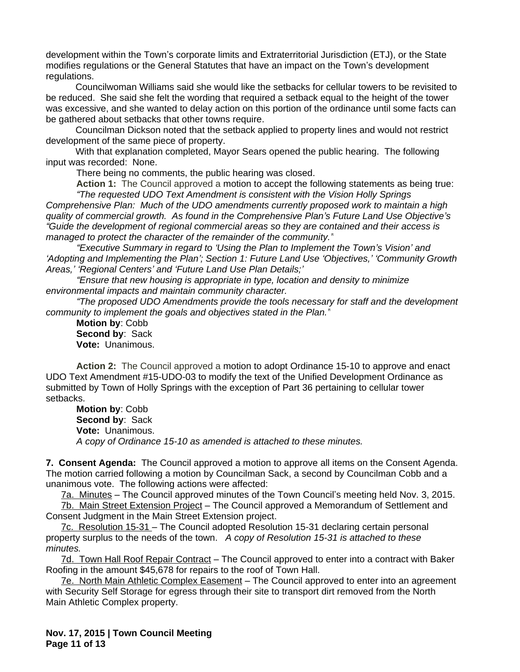development within the Town's corporate limits and Extraterritorial Jurisdiction (ETJ), or the State modifies regulations or the General Statutes that have an impact on the Town's development regulations.

Councilwoman Williams said she would like the setbacks for cellular towers to be revisited to be reduced. She said she felt the wording that required a setback equal to the height of the tower was excessive, and she wanted to delay action on this portion of the ordinance until some facts can be gathered about setbacks that other towns require.

Councilman Dickson noted that the setback applied to property lines and would not restrict development of the same piece of property.

With that explanation completed, Mayor Sears opened the public hearing. The following input was recorded: None.

There being no comments, the public hearing was closed.

**Action 1:** The Council approved a motion to accept the following statements as being true: *"The requested UDO Text Amendment is consistent with the Vision Holly Springs* 

*Comprehensive Plan: Much of the UDO amendments currently proposed work to maintain a high quality of commercial growth. As found in the Comprehensive Plan's Future Land Use Objective's "Guide the development of regional commercial areas so they are contained and their access is managed to protect the character of the remainder of the community."*

*"Executive Summary in regard to 'Using the Plan to Implement the Town's Vision' and 'Adopting and Implementing the Plan'; Section 1: Future Land Use 'Objectives,' 'Community Growth Areas,' 'Regional Centers' and 'Future Land Use Plan Details;'*

*"Ensure that new housing is appropriate in type, location and density to minimize environmental impacts and maintain community character.*

*"The proposed UDO Amendments provide the tools necessary for staff and the development community to implement the goals and objectives stated in the Plan."*

**Motion by**: Cobb **Second by**: Sack **Vote:** Unanimous.

**Action 2:** The Council approved a motion to adopt Ordinance 15-10 to approve and enact UDO Text Amendment #15-UDO-03 to modify the text of the Unified Development Ordinance as submitted by Town of Holly Springs with the exception of Part 36 pertaining to cellular tower setbacks.

**Motion by**: Cobb **Second by**: Sack **Vote:** Unanimous. *A copy of Ordinance 15-10 as amended is attached to these minutes.*

**7. Consent Agenda:** The Council approved a motion to approve all items on the Consent Agenda. The motion carried following a motion by Councilman Sack, a second by Councilman Cobb and a unanimous vote. The following actions were affected:

7a. Minutes – The Council approved minutes of the Town Council's meeting held Nov. 3, 2015. 7b. Main Street Extension Project – The Council approved a Memorandum of Settlement and

Consent Judgment in the Main Street Extension project.

7c. Resolution 15-31 – The Council adopted Resolution 15-31 declaring certain personal property surplus to the needs of the town. *A copy of Resolution 15-31 is attached to these minutes.*

7d. Town Hall Roof Repair Contract - The Council approved to enter into a contract with Baker Roofing in the amount \$45,678 for repairs to the roof of Town Hall.

7e. North Main Athletic Complex Easement – The Council approved to enter into an agreement with Security Self Storage for egress through their site to transport dirt removed from the North Main Athletic Complex property.

**Nov. 17, 2015 | Town Council Meeting Page 11 of 13**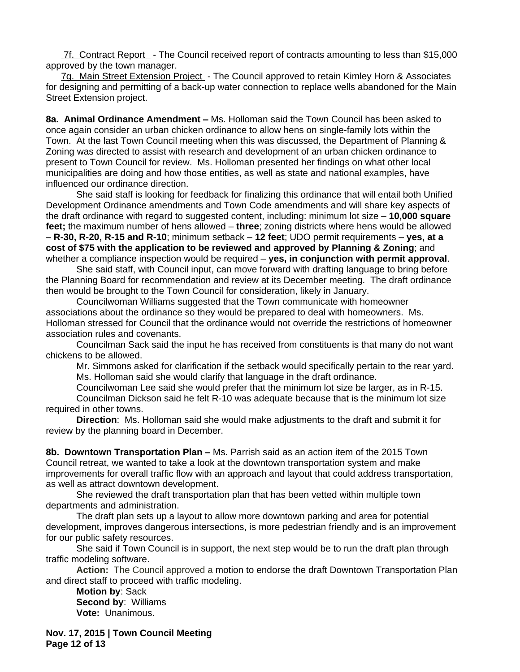7f. Contract Report - The Council received report of contracts amounting to less than \$15,000 approved by the town manager.

7g. Main Street Extension Project - The Council approved to retain Kimley Horn & Associates for designing and permitting of a back-up water connection to replace wells abandoned for the Main Street Extension project.

**8a. Animal Ordinance Amendment –** Ms. Holloman said the Town Council has been asked to once again consider an urban chicken ordinance to allow hens on single-family lots within the Town. At the last Town Council meeting when this was discussed, the Department of Planning & Zoning was directed to assist with research and development of an urban chicken ordinance to present to Town Council for review. Ms. Holloman presented her findings on what other local municipalities are doing and how those entities, as well as state and national examples, have influenced our ordinance direction.

She said staff is looking for feedback for finalizing this ordinance that will entail both Unified Development Ordinance amendments and Town Code amendments and will share key aspects of the draft ordinance with regard to suggested content, including: minimum lot size – **10,000 square feet;** the maximum number of hens allowed – **three**; zoning districts where hens would be allowed – **R-30, R-20, R-15 and R-10**; minimum setback – **12 feet**; UDO permit requirements – **yes, at a cost of \$75 with the application to be reviewed and approved by Planning & Zoning**; and whether a compliance inspection would be required – **yes, in conjunction with permit approval**.

She said staff, with Council input, can move forward with drafting language to bring before the Planning Board for recommendation and review at its December meeting. The draft ordinance then would be brought to the Town Council for consideration, likely in January.

Councilwoman Williams suggested that the Town communicate with homeowner associations about the ordinance so they would be prepared to deal with homeowners. Ms. Holloman stressed for Council that the ordinance would not override the restrictions of homeowner association rules and covenants.

Councilman Sack said the input he has received from constituents is that many do not want chickens to be allowed.

Mr. Simmons asked for clarification if the setback would specifically pertain to the rear yard. Ms. Holloman said she would clarify that language in the draft ordinance.

Councilwoman Lee said she would prefer that the minimum lot size be larger, as in R-15. Councilman Dickson said he felt R-10 was adequate because that is the minimum lot size required in other towns.

**Direction**: Ms. Holloman said she would make adjustments to the draft and submit it for review by the planning board in December.

**8b. Downtown Transportation Plan –** Ms. Parrish said as an action item of the 2015 Town Council retreat, we wanted to take a look at the downtown transportation system and make improvements for overall traffic flow with an approach and layout that could address transportation, as well as attract downtown development.

She reviewed the draft transportation plan that has been vetted within multiple town departments and administration.

The draft plan sets up a layout to allow more downtown parking and area for potential development, improves dangerous intersections, is more pedestrian friendly and is an improvement for our public safety resources.

She said if Town Council is in support, the next step would be to run the draft plan through traffic modeling software.

**Action:** The Council approved a motion to endorse the draft Downtown Transportation Plan and direct staff to proceed with traffic modeling.

**Motion by**: Sack **Second by**: Williams **Vote:** Unanimous.

**Nov. 17, 2015 | Town Council Meeting Page 12 of 13**